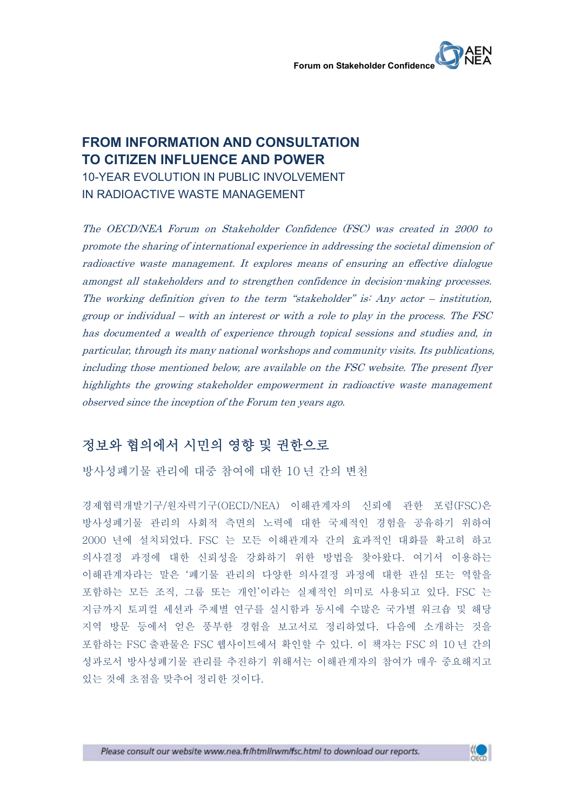## **FROM INFORMATION AND CONSULTATION TO CITIZEN INFLUENCE AND POWER** 10-YEAR EVOLUTION IN PUBLIC INVOLVEMENT IN RADIOACTIVE WASTE MANAGEMENT

The OECD/NEA Forum on Stakeholder Confidence (FSC) was created in 2000 to promote the sharing of international experience in addressing the societal dimension of radioactive waste management. It explores means of ensuring an effective dialogue amongst all stakeholders and to strengthen confidence in decision-making processes. The working definition given to the term "stakeholder" is: Any actor – institution, group or individual – with an interest or with a role to play in the process. The FSC has documented a wealth of experience through topical sessions and studies and, in particular, through its many national workshops and community visits. Its publications, including those mentioned below, are available on the FSC website. The present flyer highlights the growing stakeholder empowerment in radioactive waste management observed since the inception of the Forum ten years ago.

# 정보와 협의에서 시민의 영향 및 권한으로

방사성폐기물 관리에 대중 참여에 대한 10 년 간의 변천

경제협력개발기구/원자력기구(OECD/NEA) 이해관계자의 신뢰에 관한 포럼(FSC)은 방사성폐기물 관리의 사회적 측면의 노력에 대한 국제적인 경험을 공유하기 위하여 2000 년에 설치되었다. FSC 는 모든 이해관계자 간의 효과적인 대화를 확고히 하고 의사결정 과정에 대한 신뢰성을 강화하기 위한 방법을 찾아왔다. 여기서 이용하는 이해관계자라는 말은 '폐기물 관리의 다양한 의사결정 과정에 대한 관심 또는 역할을 포함하는 모든 조직, 그룹 또는 개인'이라는 실제적인 의미로 사용되고 있다. FSC 는 지금까지 토피컬 세션과 주제별 연구를 실시함과 동시에 수많은 국가별 워크숍 및 해당 지역 방문 등에서 얻은 풍부한 경험을 보고서로 정리하였다. 다음에 소개하는 것을 포함하는 FSC 출판물은 FSC 웹사이트에서 확인할 수 있다. 이 책자는 FSC 의 10 년 간의 성과로서 방사성폐기물 관리를 추진하기 위해서는 이해관계자의 참여가 매우 중요해지고 있는 것에 초점을 맞추어 정리한 것이다.

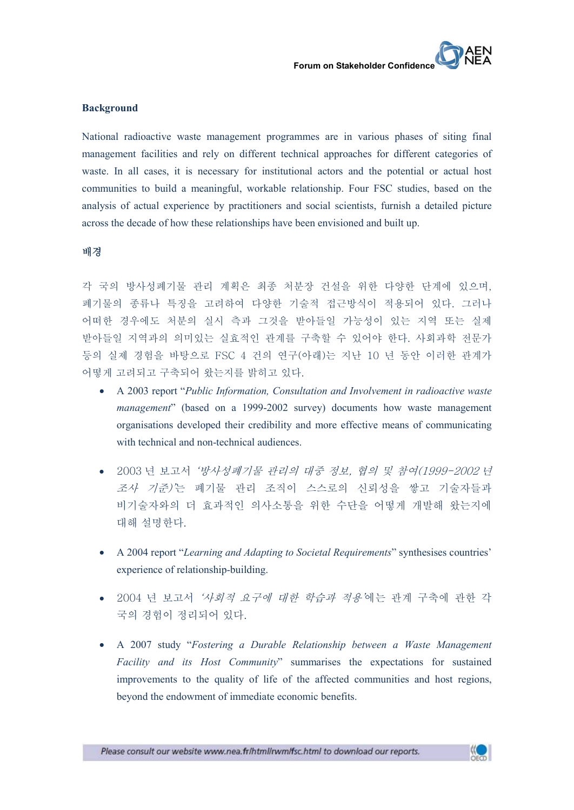#### **Background**

National radioactive waste management programmes are in various phases of siting final management facilities and rely on different technical approaches for different categories of waste. In all cases, it is necessary for institutional actors and the potential or actual host communities to build a meaningful, workable relationship. Four FSC studies, based on the analysis of actual experience by practitioners and social scientists, furnish a detailed picture across the decade of how these relationships have been envisioned and built up.

#### 배경

각 국의 방사성폐기물 관리 계획은 최종 처분장 건설을 위한 다양한 단계에 있으며,<br>폐기물의 종류나 특징을 고려하여 다양한 기술적 접근방식이 적용되어 있다. 그러나 어떠한 경우에도 처분의 실시 측과 그것을 받아들일 가능성이 있는 지역 또는 실제 받아들일 지역과의 의미있는 실효적인 관계를 구축할 수 있어야 한다. 사회과학 전문가 등의 실제 경험을 바탕으로 FSC 4 건의 연구(아래)는 지난 10 년 동안 이러한 관계가 어떻게 고려되고 구축되어 왔는지를 밝히고 있다.

- · A 2003 report "*Public Information, Consultation and Involvement in radioactive waste management*" (based on a 1999-2002 survey) documents how waste management organisations developed their credibility and more effective means of communicating with technical and non-technical audiences.
- · 2003 년 보고서 '방사성폐기물 관리의 대중 정보, 협의 및 참여(1999-2002 년 조사 기준)'는 폐기물 관리 조직이 스스로의 신뢰성을 쌓고 기술자들과 비기술자와의 더 효과적인 의사소통을 위한 수단을 어떻게 개발해 왔는지에 대해 설명한다.
- · A 2004 report "*Learning and Adapting to Societal Requirements*" synthesises countries' experience of relationship-building.
- · 2004 년 보고서 '사회적 요구에 대한 학습과 적용'에는 관계 구축에 관한 각 국의 경험이 정리되어 있다.
- · A 2007 study "*Fostering a Durable Relationship between a Waste Management Facility and its Host Community*" summarises the expectations for sustained improvements to the quality of life of the affected communities and host regions, beyond the endowment of immediate economic benefits.

Please consult our website www.nea.fr/html/rwm/fsc.html to download our reports.

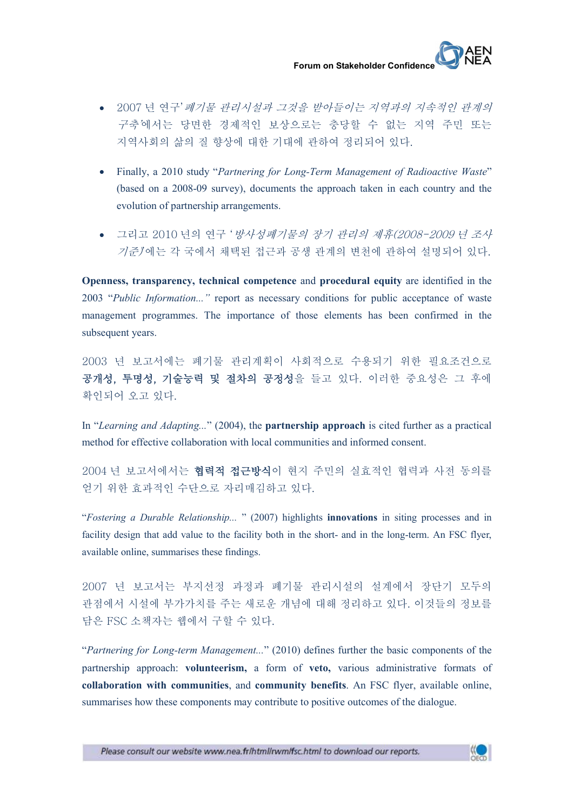

- · 2007 년 연구'폐기물 관리시설과 그것을 받아들이는 지역과의 지속적인 관계의 구축'에서는 당면한 경제적인 보상으로는 충당할 수 없는 지역 주민 또는 지역사회의 삶의 질 향상에 대한 기대에 관하여 정리되어 있다.
- · Finally, a 2010 study "*Partnering for Long-Term Management of Radioactive Waste*" (based on a 2008-09 survey), documents the approach taken in each country and the evolution of partnership arrangements.
- · 그리고 2010 년의 연구 '방사성폐기물의 장기 관리의 제휴(2008-2009 년 조사 기준)'에는 각 국에서 채택된 접근과 공생 관계의 변천에 관하여 설명되어 있다.

**Openness, transparency, technical competence** and **procedural equity** are identified in the 2003 "*Public Information..."* report as necessary conditions for public acceptance of waste management programmes. The importance of those elements has been confirmed in the subsequent years.

2003 년 보고서에는 폐기물 관리계획이 사회적으로 수용되기 위한 필요조건으로 공개성, 투명성, 기술능력 및 절차의 공정성을 들고 있다. 이러한 중요성은 그 후에 확인되어 오고 있다.

In "*Learning and Adapting...*" (2004), the **partnership approach** is cited further as a practical method for effective collaboration with local communities and informed consent.

2004 년 보고서에서는 협력적 접근방식이 현지 주민의 실효적인 협력과 사전 동의를 얻기 위한 효과적인 수단으로 자리매김하고 있다.

"*Fostering a Durable Relationship...* " (2007) highlights **innovations** in siting processes and in facility design that add value to the facility both in the short- and in the long-term. An FSC flyer, available online, summarises these findings.

2007 년 보고서는 부지선정 과정과 폐기물 관리시설의 설계에서 장단기 모두의 관점에서 시설에 부가가치를 주는 새로운 개념에 대해 정리하고 있다. 이것들의 정보를 담은 FSC 소책자는 웹에서 구할 수 있다.

"*Partnering for Long-term Management...*" (2010) defines further the basic components of the partnership approach: **volunteerism,** a form of **veto,** various administrative formats of **collaboration with communities**, and **community benefits**. An FSC flyer, available online, summarises how these components may contribute to positive outcomes of the dialogue.

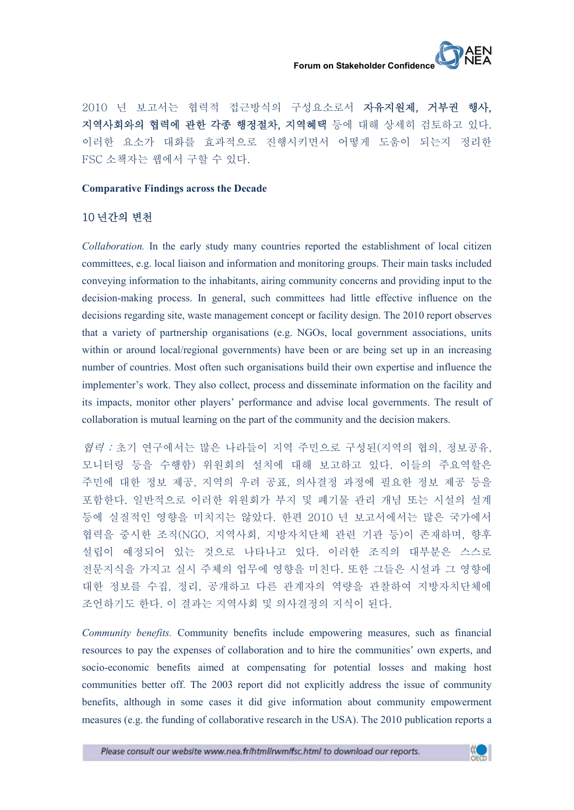

2010 년 보고서는 협력적 접근방식의 구성요소로서 **자유지원제, 거부권 행사,**<br>**지역사회와의 협력에 관한 각종 행정절차, 지역혜택** 등에 대해 상세히 검토하고 있다.<br>이러한 요소가 대화를 효과적으로 진행시키면서 어떻게 도움이 되는지 정리한 FSC 소책자는 웹에서 구할 수 있다.

#### **Comparative Findings across the Decade**

## 10 년간의 변천

*Collaboration.* In the early study many countries reported the establishment of local citizen committees, e.g. local liaison and information and monitoring groups. Their main tasks included conveying information to the inhabitants, airing community concerns and providing input to the decision-making process. In general, such committees had little effective influence on the decisions regarding site, waste management concept or facility design. The 2010 report observes that a variety of partnership organisations (e.g. NGOs, local government associations, units within or around local/regional governments) have been or are being set up in an increasing number of countries. Most often such organisations build their own expertise and influence the implementer's work. They also collect, process and disseminate information on the facility and its impacts, monitor other players' performance and advise local governments. The result of collaboration is mutual learning on the part of the community and the decision makers.

*협력 :* 초기 연구에서는 많은 나라들이 지역 주민으로 구성된(지역의 협의, 정보공유,<br>모니터링 등을 수행함) 위원회의 설치에 대해 보고하고 있다. 이들의 주요역할은 주민에 대한 정보 제공, 지역의 우려 공표, 의사결정 과정에 필요한 정보 제공 등을 포함한다. 일반적으로 이러한 위원회가 부지 및 폐기물 관리 개념 또는 시설의 설계 등에 실질적인 영향을 미치지는 않았다. 한편 2010 년 보고서에서는 많은 국가에서 협력을 중시한 조직(NGO, 지역사회, 지방자치단체 관련 기관 등)이 존재하며, 향후 설립이 예정되어 있는 것으로 나타나고 있다. 이러한 조직의 대부분은 스스로 전문지식을 가지고 실시 주체의 업무에 영향을 미친다. 또한 그들은 시설과 그 영향에 대한 정보를 수집, 정리, 공개하고 다른 관계자의 역량을 관찰하여 지방자치단체에 조언하기도 한다. 이 결과는 지역사회 및 의사결정의 지식이 된다.

*Community benefits.* Community benefits include empowering measures, such as financial resources to pay the expenses of collaboration and to hire the communities' own experts, and socio-economic benefits aimed at compensating for potential losses and making host communities better off. The 2003 report did not explicitly address the issue of community benefits, although in some cases it did give information about community empowerment measures (e.g. the funding of collaborative research in the USA). The 2010 publication reports a

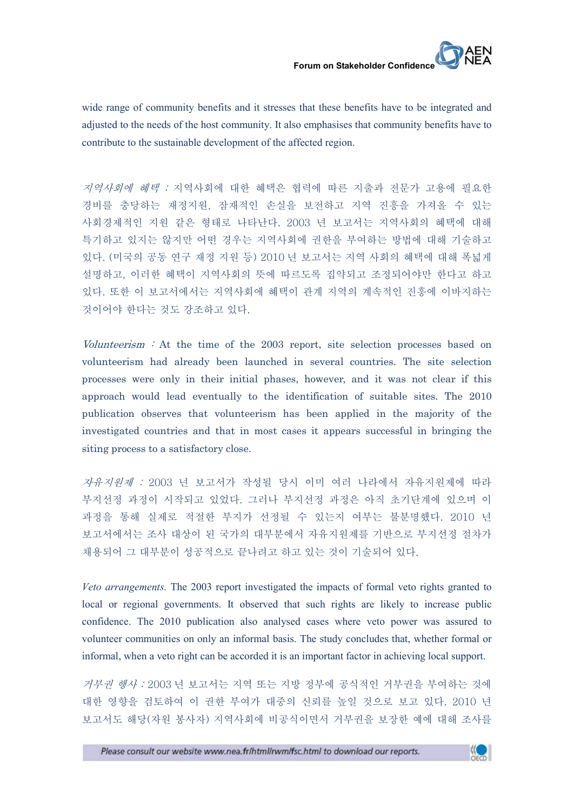wide range of community benefits and it stresses that these benefits have to be integrated and adjusted to the needs of the host community. It also emphasises that community benefits have to contribute to the sustainable development of the affected region.

지역사회에 혜택 : 지역사회에 대한 혜택은 협력에 따른 지출과 전문가 고용에 필요한 경비를 충당하는 재정지원, 잠재적인 손실을 보전하고 지역 진흥을 가져올 수 있는 사회경제적인 지원 같은 형태로 나타난다. 2003 년 보고서는 지역사회의 혜택에 대해 특기하고 있지는 않지만 어떤 경우는 지역사회에 권한을 부여하는 방법에 대해 기술하고 있다. (미국의 공동 연구 재정 지원 등) 2010 년 보고서는 지역 사회의 혜택에 대해 폭넓게 설명하고, 이러한 혜택이 지역사회의 뜻에 따르도록 집약되고 조정되어야만 한다고 하고 있다. 또한 이 보고서에서는 지역사회에 혜택이 관계 지역의 계속적인 진흥에 이바지하는 것이어야 한다는 것도 강조하고 있다.

Volunteerism : At the time of the  $2003$  report, site selection processes based on volunteerism had already been launched in several countries. The site selection processes were only in their initial phases, however, and it was not clear if this approach would lead eventually to the identification of suitable sites. The 2010 publication observes that volunteerism has been applied in the majority of the investigated countries and that in most cases it appears successful in bringing the siting process to a satisfactory close.

자유지원제 : 2003 년 보고서가 작성될 당시 이미 여러 나라에서 자유지원제에 따라 부지선정 과정이 시작되고 있었다. 그러나 부지선정 과정은 아직 초기단계에 있으며 이 과정을 통해 실제로 적절한 부지가 선정될 수 있는지 여부는 불분명했다. 2010 년 보고서에서는 조사 대상이 된 국가의 대부분에서 자유지원제를 기반으로 부지선정 절차가 채용되어 그 대부분이 성공적으로 끝나려고 하고 있는 것이 기술되어 있다.

*Veto arrangements.* The 2003 report investigated the impacts of formal veto rights granted to local or regional governments. It observed that such rights are likely to increase public confidence. The 2010 publication also analysed cases where veto power was assured to volunteer communities on only an informal basis. The study concludes that, whether formal or informal, when a veto right can be accorded it is an important factor in achieving local support.

거부권 행사 : 2003 년 보고서는 지역 또는 지방 정부에 공식적인 거부권을 부여하는 것에 대한 영향을 검토하여 이 권한 부여가 대중의 신뢰를 높일 것으로 보고 있다. 2010 년 보고서도 해당(자원 봉사자) 지역사회에 비공식이면서 거부권을 보장한 예에 대해 조사를

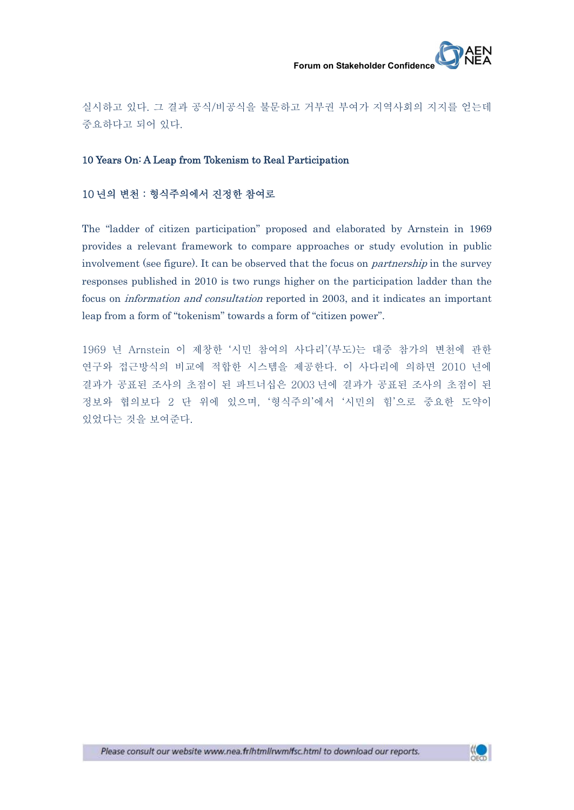

실시하고 있다. 그 결과 공식/비공식을 불문하고 거부권 부여가 지역사회의 지지를 얻는데 중요하다고 되어 있다.

### 10 Years On: A Leap from Tokenism to Real Participation

### 10 년의 변천 : 형식주의에서 진정한 참여로

The "ladder of citizen participation" proposed and elaborated by Arnstein in 1969 provides a relevant framework to compare approaches or study evolution in public involvement (see figure). It can be observed that the focus on *partnership* in the survey responses published in 2010 is two rungs higher on the participation ladder than the focus on information and consultation reported in 2003, and it indicates an important leap from a form of "tokenism" towards a form of "citizen power".

1969 년 Arnstein 이 제창한 '시민 참여의 사다리'(부도)는 대중 참가의 변천에 관한 연구와 접근방식의 비교에 적합한 시스템을 제공한다. 이 사다리에 의하면 2010 년에 결과가 공표된 조사의 초점이 된 파트너십은 2003 년에 결과가 공표된 조사의 초점이 된 정보와 협의보다 2 단 위에 있으며, '형식주의'에서 '시민의 힘'으로 중요한 도약이 있었다는 것을 보여준다.

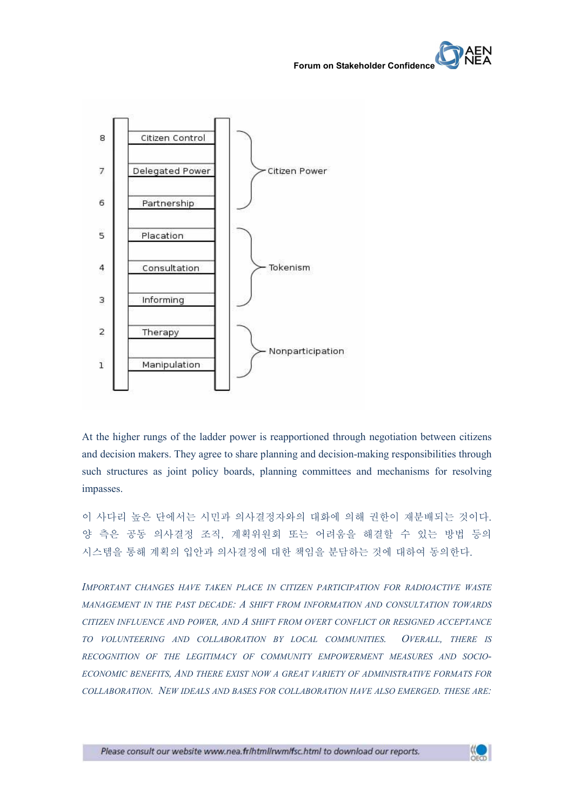

At the higher rungs of the ladder power is reapportioned through negotiation between citizens and decision makers. They agree to share planning and decision-making responsibilities through such structures as joint policy boards, planning committees and mechanisms for resolving impasses.

이 사다리 높은 단에서는 시민과 의사결정자와의 대화에 의해 권한이 재분배되는 것이다.<br>양 측은 공동 의사결정 조직, 계획위원회 또는 어려움을 해결할 수 있는 방법 등의 시스템을 통해 계획의 입안과 의사결정에 대한 책임을 분담하는 것에 대하여 동의한다.

*IMPORTANT CHANGES HAVE TAKEN PLACE IN CITIZEN PARTICIPATION FOR RADIOACTIVE WASTE MANAGEMENT IN THE PAST DECADE: A SHIFT FROM INFORMATION AND CONSULTATION TOWARDS CITIZEN INFLUENCE AND POWER, AND A SHIFT FROM OVERT CONFLICT OR RESIGNED ACCEPTANCE TO VOLUNTEERING AND COLLABORATION BY LOCAL COMMUNITIES. OVERALL, THERE IS RECOGNITION OF THE LEGITIMACY OF COMMUNITY EMPOWERMENT MEASURES AND SOCIO- ECONOMIC BENEFITS, AND THERE EXIST NOW A GREAT VARIETY OF ADMINISTRATIVE FORMATS FOR COLLABORATION. NEW IDEALS AND BASES FOR COLLABORATION HAVE ALSO EMERGED. THESE ARE:*